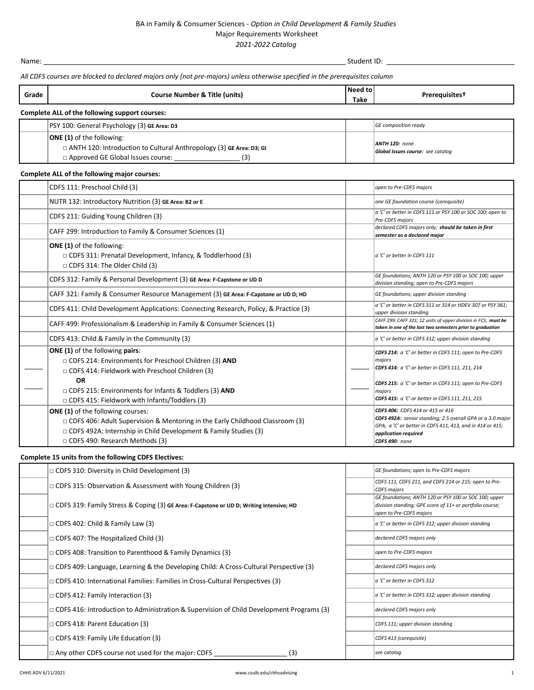## BA in Family & Consumer Sciences - *Option in Child Development & Family Studies* Major Requirements Worksheet *2021-2022 Catalog*

Name: \_\_\_\_\_\_\_\_\_\_\_\_\_\_\_\_\_\_\_\_\_\_\_\_\_\_\_\_\_\_\_\_\_\_\_\_\_\_\_\_\_\_\_\_\_\_\_\_\_\_\_\_\_\_\_\_\_\_\_\_\_\_\_\_\_\_\_\_\_\_\_\_\_\_\_\_\_\_\_Student ID: \_\_\_\_\_\_\_\_\_\_\_\_\_\_\_\_\_\_\_\_\_\_\_\_\_\_\_\_\_\_\_\_\_\_

*All CDFS courses are blocked to declared majors only (not pre-majors) unless otherwise specified in the prerequisites column*

| Grade                                          | <b>Course Number &amp; Title (units)</b>                                                                                                                     | Need to<br>Take | <b>Prerequisitest</b>                               |  |  |
|------------------------------------------------|--------------------------------------------------------------------------------------------------------------------------------------------------------------|-----------------|-----------------------------------------------------|--|--|
| Complete ALL of the following support courses: |                                                                                                                                                              |                 |                                                     |  |  |
|                                                | PSY 100: General Psychology (3) GE Area: D3                                                                                                                  |                 | GE composition ready                                |  |  |
|                                                | <b>ONE (1)</b> of the following:<br>$\Box$ ANTH 120: Introduction to Cultural Anthropology (3) GE Area: D3; GI<br>□ Approved GE Global Issues course:<br>(3) |                 | ANTH 120: none<br>Global Issues course: see catalog |  |  |

## **Complete ALL of the following major courses:**

| CDFS 111: Preschool Child (3)                                                                                                                                                                                                                                                               | open to Pre-CDFS majors                                                                                                                                                                                                                      |
|---------------------------------------------------------------------------------------------------------------------------------------------------------------------------------------------------------------------------------------------------------------------------------------------|----------------------------------------------------------------------------------------------------------------------------------------------------------------------------------------------------------------------------------------------|
| NUTR 132: Introductory Nutrition (3) GE Area: B2 or E                                                                                                                                                                                                                                       | one GE foundation course (corequisite)                                                                                                                                                                                                       |
| CDFS 211: Guiding Young Children (3)                                                                                                                                                                                                                                                        | a 'C' or better in CDFS 111 or PSY 100 or SOC 100; open to<br><b>Pre-CDFS majors</b>                                                                                                                                                         |
| CAFF 299: Introduction to Family & Consumer Sciences (1)                                                                                                                                                                                                                                    | declared CDFS majors only; should be taken in first<br>semester as a declared major                                                                                                                                                          |
| <b>ONE (1)</b> of the following:<br>$\Box$ CDFS 311: Prenatal Development, Infancy, & Toddlerhood (3)<br>$\Box$ CDFS 314: The Older Child (3)                                                                                                                                               | a 'C' or better in CDFS 111                                                                                                                                                                                                                  |
| CDFS 312: Family & Personal Development (3) GE Area: F-Capstone or UD D                                                                                                                                                                                                                     | GE foundations; ANTH 120 or PSY 100 or SOC 100; upper<br>division standing; open to Pre-CDFS majors                                                                                                                                          |
| CAFF 321: Family & Consumer Resource Management (3) GE Area: F-Capstone or UD D; HD                                                                                                                                                                                                         | GE foundations; upper division standing                                                                                                                                                                                                      |
| CDFS 411: Child Development Applications: Connecting Research, Policy, & Practice (3)                                                                                                                                                                                                       | a 'C' or better in CDFS 311 or 314 or HDEV 307 or PSY 361:<br>upper division standing                                                                                                                                                        |
| CAFF 499: Professionalism & Leadership in Family & Consumer Sciences (1)                                                                                                                                                                                                                    | CAFF 299; CAFF 321; 12 units of upper division in FCS; must be<br>taken in one of the last two semesters prior to graduation                                                                                                                 |
| CDFS 413: Child & Family in the Community (3)                                                                                                                                                                                                                                               | a 'C' or better in CDFS 312; upper division standing                                                                                                                                                                                         |
| <b>ONE (1)</b> of the following pairs:<br>$\Box$ CDFS 214: Environments for Preschool Children (3) AND<br>□ CDFS 414: Fieldwork with Preschool Children (3)<br><b>OR</b><br>$\Box$ CDFS 215: Environments for Infants & Toddlers (3) AND<br>□ CDFS 415: Fieldwork with Infants/Toddlers (3) | CDFS 214: a 'C' or better in CDFS 111; open to Pre-CDFS<br>majors<br>CDFS 414: a 'C' or better in CDFS 111, 211, 214<br>CDFS 215: a 'C' or better in CDFS 111; open to Pre-CDFS<br>majors<br>CDFS 415: a 'C' or better in CDFS 111, 211, 215 |
| <b>ONE (1)</b> of the following courses:<br>$\Box$ CDFS 406: Adult Supervision & Mentoring in the Early Childhood Classroom (3)<br>$\Box$ CDFS 492A: Internship in Child Development & Family Studies (3)<br>□ CDFS 490: Research Methods (3)                                               | CDFS 406: CDFS 414 or 415 or 416<br>CDFS 492A: senior standing; 2.5 overall GPA or a 3.0 major<br>GPA; a 'C' or better in CDFS 411, 413, and in 414 or 415;<br>application required<br>CDFS 490: none                                        |

## **Complete 15 units from the following CDFS Electives:**

| $\Box$ CDFS 310: Diversity in Child Development (3)                                             | GE foundations; open to Pre-CDFS majors                                                                                                      |
|-------------------------------------------------------------------------------------------------|----------------------------------------------------------------------------------------------------------------------------------------------|
| $\Box$ CDFS 315: Observation & Assessment with Young Children (3)                               | CDFS 111, CDFS 211, and CDFS 214 or 215; open to Pre-<br><b>CDFS</b> majors                                                                  |
| $\Box$ CDFS 319: Family Stress & Coping (3) GE Area: F-Capstone or UD D; Writing Intensive; HD  | GE foundations; ANTH 120 or PSY 100 or SOC 100; upper<br>division standing; GPE score of 11+ or portfolio course;<br>open to Pre-CDFS majors |
| $\Box$ CDFS 402: Child & Family Law (3)                                                         | $ a $ 'C' or better in CDFS 312; upper division standing                                                                                     |
| $\Box$ CDFS 407: The Hospitalized Child (3)                                                     | declared CDFS majors only                                                                                                                    |
| $\Box$ CDFS 408: Transition to Parenthood & Family Dynamics (3)                                 | open to Pre-CDFS majors                                                                                                                      |
| $\Box$ CDFS 409: Language, Learning & the Developing Child: A Cross-Cultural Perspective (3)    | declared CDFS majors only                                                                                                                    |
| $\Box$ CDFS 410: International Families: Families in Cross-Cultural Perspectives (3)            | a 'C' or better in CDFS 312                                                                                                                  |
| $\Box$ CDFS 412: Family Interaction (3)                                                         | a 'C' or better in CDFS 312; upper division standing                                                                                         |
| $\Box$ CDFS 416: Introduction to Administration & Supervision of Child Development Programs (3) | declared CDFS majors only                                                                                                                    |
| $\Box$ CDFS 418: Parent Education (3)                                                           | CDFS 111; upper division standing                                                                                                            |
| $\Box$ CDFS 419: Family Life Education (3)                                                      | CDFS 413 (corequisite)                                                                                                                       |
| $\Box$ Any other CDFS course not used for the major: CDFS<br>(3)                                | see catalog                                                                                                                                  |